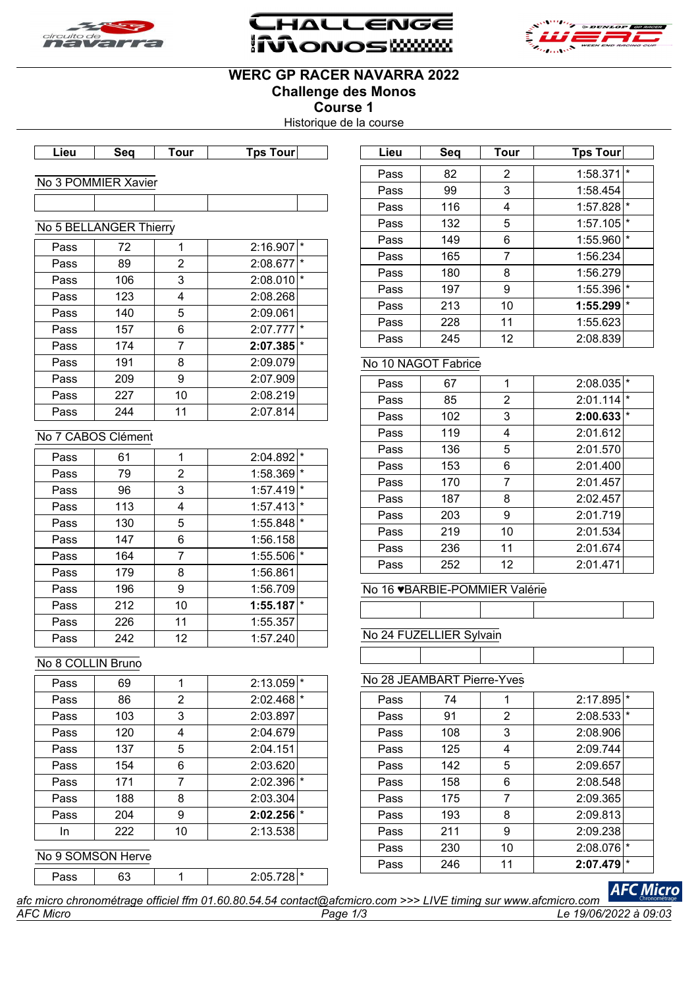





## **WERC GP RACER NAVARRA 2022 Challenge des Monos**

**Course 1**

Historique de la course

|  | <b>HILL</b> | --<br>,,,,, |
|--|-------------|-------------|
|  |             |             |

#### No 3 POMMIER Xavier

# No 5 BELLANGER Thierry Pass | 72 | 1 | 2:16.907 |\* Pass 89 2 2:08.677 Pass | 106 | 3 | 2:08.010 Pass 123 4 2:08.268 Pass | 140 | 5 | 2:09.061 Pass 157 6 2:07.777 Pass 174 7 2:07.385 Pass 191 8 2:09.079 Pass 209 9 2:07.909 Pass  $227$  10 2:08.219 Pass 244 11 2:07.814

## No 7 CABOS Clément

| Pass | 61  | 1  | $\star$<br>2:04.892     |  |
|------|-----|----|-------------------------|--|
| Pass | 79  | 2  | $\star$<br>1:58.369     |  |
| Pass | 96  | 3  | $\star$<br>1:57.419     |  |
| Pass | 113 | 4  | $\star$<br>1:57.413     |  |
| Pass | 130 | 5  | $^\star$<br>1:55.848    |  |
| Pass | 147 | 6  | 1:56.158                |  |
| Pass | 164 | 7  | $1:55.506$ <sup>*</sup> |  |
| Pass | 179 | 8  | 1:56.861                |  |
| Pass | 196 | 9  | 1:56.709                |  |
| Pass | 212 | 10 | $\star$<br>1:55.187     |  |
| Pass | 226 | 11 | 1:55.357                |  |
| Pass | 242 | 12 | 1:57.240                |  |

## No 8 COLLIN Bruno

| Pass | 69  |    | 2:13.059 |         |
|------|-----|----|----------|---------|
| Pass | 86  | 2  | 2:02.468 | $\star$ |
| Pass | 103 | 3  | 2:03.897 |         |
| Pass | 120 | Δ  | 2:04.679 |         |
| Pass | 137 | 5  | 2:04.151 |         |
| Pass | 154 | 6  | 2:03.620 |         |
| Pass | 171 |    | 2:02.396 | $\star$ |
| Pass | 188 | 8  | 2:03.304 |         |
| Pass | 204 | 9  | 2:02.256 | $\star$ |
| In   | 222 | 10 | 2:13.538 |         |
|      |     |    |          |         |

#### No 9 SOMSON Herve

Pass 63 1 1 2:05.728 \*

| Lieu | Seq | Tour | <b>Tps Tour</b> |          |
|------|-----|------|-----------------|----------|
| Pass | 82  | 2    | 1:58.371        | $\star$  |
| Pass | 99  | 3    | 1:58.454        |          |
| Pass | 116 | 4    | 1:57.828        | $\star$  |
| Pass | 132 | 5    | 1:57.105        | *        |
| Pass | 149 | 6    | 1:55.960        | $^\star$ |
| Pass | 165 | 7    | 1:56.234        |          |
| Pass | 180 | 8    | 1:56.279        |          |
| Pass | 197 | 9    | 1:55.396        | $\star$  |
| Pass | 213 | 10   | 1:55.299        | $\star$  |
| Pass | 228 | 11   | 1:55.623        |          |
| Pass | 245 | 12   | 2:08.839        |          |

## No 10 NAGOT Fabrice

| Pass | 67  | 1  | 2:08.035 | $\star$ |
|------|-----|----|----------|---------|
| Pass | 85  | 2  | 2:01.114 | $\star$ |
| Pass | 102 | 3  | 2:00.633 | $\star$ |
| Pass | 119 | 4  | 2:01.612 |         |
| Pass | 136 | 5  | 2:01.570 |         |
| Pass | 153 | 6  | 2:01.400 |         |
| Pass | 170 | 7  | 2:01.457 |         |
| Pass | 187 | 8  | 2:02.457 |         |
| Pass | 203 | 9  | 2:01.719 |         |
| Pass | 219 | 10 | 2:01.534 |         |
| Pass | 236 | 11 | 2:01.674 |         |
| Pass | 252 | 12 | 2:01.471 |         |

#### No 16 ♥BARBIE-POMMIER Valérie

## No 24 FUZELLIER Sylvain

No 28 JEAMBART Pierre-Yves

| Pass | 74  | 1  | 2:17.895 | $\star$ |
|------|-----|----|----------|---------|
| Pass | 91  | 2  | 2:08.533 | $\star$ |
| Pass | 108 | 3  | 2:08.906 |         |
| Pass | 125 | 4  | 2:09.744 |         |
| Pass | 142 | 5  | 2:09.657 |         |
| Pass | 158 | 6  | 2:08.548 |         |
| Pass | 175 | 7  | 2:09.365 |         |
| Pass | 193 | 8  | 2:09.813 |         |
| Pass | 211 | 9  | 2:09.238 |         |
| Pass | 230 | 10 | 2:08.076 | $\star$ |
| Pass | 246 | 11 | 2:07.479 | $\star$ |
|      |     |    |          |         |

#### *AFC Micro Page 1/3 Le 19/06/2022 à 09:03 afc micro chronométrage officiel ffm 01.60.80.54.54 contact@afcmicro.com >>> LIVE timing sur www.afcmicro.com*

**AFC Micro**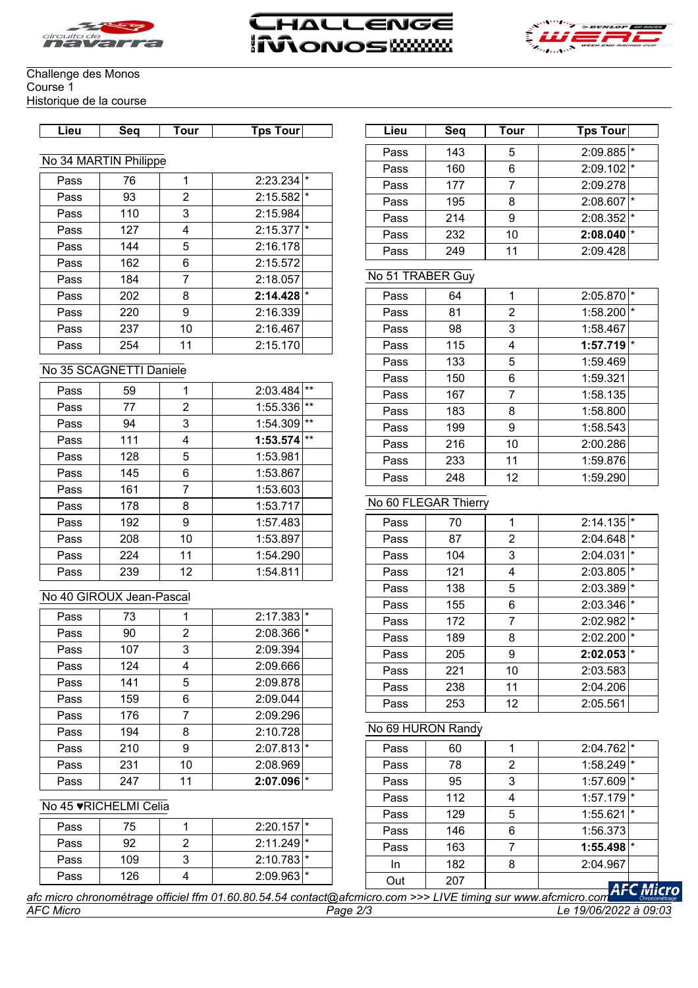





#### Challenge des Monos Course 1 Historique de la course

| Sea<br>Tps<br>Tour<br>our<br>ı our<br>Lieu<br>Seq<br>ieu |
|----------------------------------------------------------|
|----------------------------------------------------------|

#### No 34 MARTIN Philippe

| Pass | 76  |    | $\star$<br>2:23.234     |  |
|------|-----|----|-------------------------|--|
| Pass | 93  | 2  | $2:15.582$ <sup>*</sup> |  |
| Pass | 110 | 3  | 2:15.984                |  |
| Pass | 127 | 4  | 2:15.377<br>I∗          |  |
| Pass | 144 | 5  | 2:16.178                |  |
| Pass | 162 | 6  | 2:15.572                |  |
| Pass | 184 | 7  | 2:18.057                |  |
| Pass | 202 | 8  | $\star$<br>2:14.428     |  |
| Pass | 220 | 9  | 2:16.339                |  |
| Pass | 237 | 10 | 2:16.467                |  |
| Pass | 254 | 11 | 2:15.170                |  |

#### No 35 SCAGNETTI Daniele

| Pass | 59  | 1  | 2:03.484 | $***$ |
|------|-----|----|----------|-------|
| Pass | 77  | 2  | 1:55.336 | $***$ |
| Pass | 94  | 3  | 1:54.309 | $***$ |
| Pass | 111 | 4  | 1:53.574 | $***$ |
| Pass | 128 | 5  | 1:53.981 |       |
| Pass | 145 | 6  | 1:53.867 |       |
| Pass | 161 | 7  | 1:53.603 |       |
| Pass | 178 | 8  | 1:53.717 |       |
| Pass | 192 | 9  | 1:57.483 |       |
| Pass | 208 | 10 | 1:53.897 |       |
| Pass | 224 | 11 | 1:54.290 |       |
| Pass | 239 | 12 | 1:54.811 |       |

## No 40 GIROUX Jean-Pascal

| Pass | 73  |    | 2:17.383<br>$\star$  |  |
|------|-----|----|----------------------|--|
| Pass | 90  | 2  | $\star$<br>2:08.366  |  |
| Pass | 107 | 3  | 2:09.394             |  |
| Pass | 124 | 4  | 2:09.666             |  |
| Pass | 141 | 5  | 2:09.878             |  |
| Pass | 159 | 6  | 2:09.044             |  |
| Pass | 176 | 7  | 2:09.296             |  |
| Pass | 194 | 8  | 2:10.728             |  |
| Pass | 210 | 9  | $^\star$<br>2:07.813 |  |
| Pass | 231 | 10 | 2:08.969             |  |
| Pass | 247 | 11 | 2:07.096<br>$\star$  |  |

#### No 45 ♥RICHELMI Celia

| Pass | 75  | $2:20.157$ <sup>*</sup> |
|------|-----|-------------------------|
| Pass | 92  | $2:11.249$ <sup>*</sup> |
| Pass | 109 | $2:10.783$ <sup>*</sup> |
| Pass | 126 | $2:09.963$ <sup>*</sup> |

| Lieu | Sea | <b>Tour</b> | <b>Tps Tour</b>         |
|------|-----|-------------|-------------------------|
| Pass | 143 | 5           | $2:09.885$ <sup>*</sup> |
| Pass | 160 | 6           | $2:09.102$ <sup>*</sup> |
| Pass | 177 |             | 2:09.278                |
| Pass | 195 | 8           | 2:08.607                |
| Pass | 214 | g           | $2:08.352$ <sup>*</sup> |
| Pass | 232 | 10          | 2:08.040                |
| Pass | 249 | 11          | 2:09.428                |

## No 51 TRABER Guy

| Pass | 64  | 1              | $\star$<br>2:05.870 |
|------|-----|----------------|---------------------|
| Pass | 81  | $\overline{2}$ | $\star$<br>1:58.200 |
| Pass | 98  | 3              | 1:58.467            |
| Pass | 115 | 4              | I∗<br>1:57.719      |
| Pass | 133 | 5              | 1:59.469            |
| Pass | 150 | 6              | 1:59.321            |
| Pass | 167 | 7              | 1:58.135            |
| Pass | 183 | 8              | 1:58.800            |
| Pass | 199 | 9              | 1:58.543            |
| Pass | 216 | 10             | 2:00.286            |
| Pass | 233 | 11             | 1:59.876            |
| Pass | 248 | 12             | 1:59.290            |

## No 60 FLEGAR Thierry

| Pass | 70  | 1              | 2:14.135 | $\star$  |
|------|-----|----------------|----------|----------|
| Pass | 87  | $\overline{2}$ | 2:04.648 | $\star$  |
| Pass | 104 | 3              | 2:04.031 | $\star$  |
| Pass | 121 | 4              | 2:03.805 | $\star$  |
| Pass | 138 | 5              | 2:03.389 | $\star$  |
| Pass | 155 | 6              | 2:03.346 | $\star$  |
| Pass | 172 | 7              | 2:02.982 | $\star$  |
| Pass | 189 | 8              | 2:02.200 | $^\star$ |
| Pass | 205 | 9              | 2:02.053 | $\star$  |
| Pass | 221 | 10             | 2:03.583 |          |
| Pass | 238 | 11             | 2:04.206 |          |
| Pass | 253 | 12             | 2:05.561 |          |

## No 69 HURON Randy

| Pass | 60  |   | $2:04.762$ <sup>*</sup> |         |
|------|-----|---|-------------------------|---------|
| Pass | 78  | 2 | 1:58.249                | $\star$ |
| Pass | 95  | 3 | 1:57.609                | $\star$ |
| Pass | 112 |   | 1:57.179                |         |
| Pass | 129 | 5 | 1:55.621                |         |
| Pass | 146 | 6 | 1:56.373                |         |
| Pass | 163 |   | 1:55.498                | $\star$ |
| In   | 182 | 8 | 2:04.967                |         |
| Out  | 207 |   |                         | лл:     |

*AFC Micro Page 2/3 Le 19/06/2022 à 09:03 afc micro chronométrage officiel ffm 01.60.80.54.54 contact@afcmicro.com >>> LIVE timing sur www.afcmicro.com*